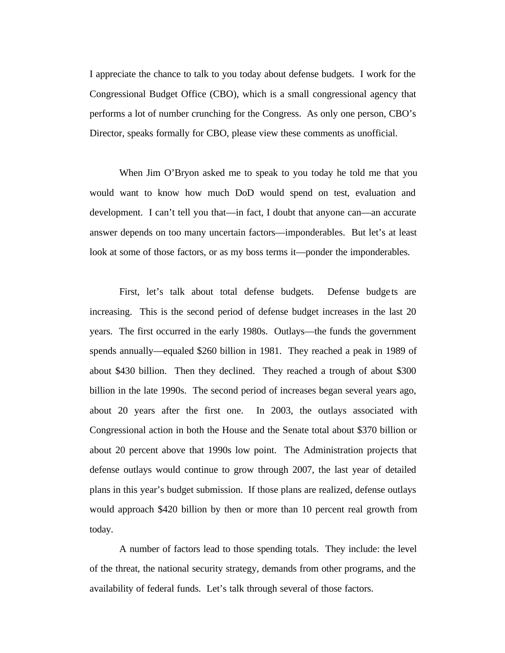I appreciate the chance to talk to you today about defense budgets. I work for the Congressional Budget Office (CBO), which is a small congressional agency that performs a lot of number crunching for the Congress. As only one person, CBO's Director, speaks formally for CBO, please view these comments as unofficial.

When Jim O'Bryon asked me to speak to you today he told me that you would want to know how much DoD would spend on test, evaluation and development. I can't tell you that—in fact, I doubt that anyone can—an accurate answer depends on too many uncertain factors—imponderables. But let's at least look at some of those factors, or as my boss terms it—ponder the imponderables.

First, let's talk about total defense budgets. Defense budgets are increasing. This is the second period of defense budget increases in the last 20 years. The first occurred in the early 1980s. Outlays—the funds the government spends annually—equaled \$260 billion in 1981. They reached a peak in 1989 of about \$430 billion. Then they declined. They reached a trough of about \$300 billion in the late 1990s. The second period of increases began several years ago, about 20 years after the first one. In 2003, the outlays associated with Congressional action in both the House and the Senate total about \$370 billion or about 20 percent above that 1990s low point. The Administration projects that defense outlays would continue to grow through 2007, the last year of detailed plans in this year's budget submission. If those plans are realized, defense outlays would approach \$420 billion by then or more than 10 percent real growth from today.

A number of factors lead to those spending totals. They include: the level of the threat, the national security strategy, demands from other programs, and the availability of federal funds. Let's talk through several of those factors.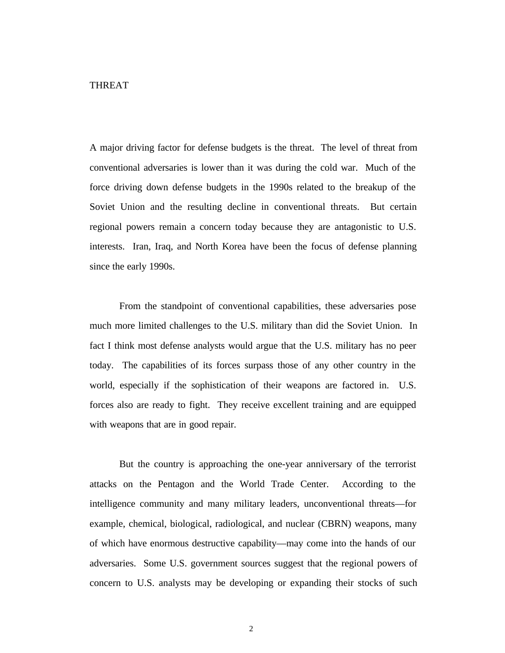THREAT

A major driving factor for defense budgets is the threat. The level of threat from conventional adversaries is lower than it was during the cold war. Much of the force driving down defense budgets in the 1990s related to the breakup of the Soviet Union and the resulting decline in conventional threats. But certain regional powers remain a concern today because they are antagonistic to U.S. interests. Iran, Iraq, and North Korea have been the focus of defense planning since the early 1990s.

From the standpoint of conventional capabilities, these adversaries pose much more limited challenges to the U.S. military than did the Soviet Union. In fact I think most defense analysts would argue that the U.S. military has no peer today. The capabilities of its forces surpass those of any other country in the world, especially if the sophistication of their weapons are factored in. U.S. forces also are ready to fight. They receive excellent training and are equipped with weapons that are in good repair.

But the country is approaching the one-year anniversary of the terrorist attacks on the Pentagon and the World Trade Center. According to the intelligence community and many military leaders, unconventional threats—for example, chemical, biological, radiological, and nuclear (CBRN) weapons, many of which have enormous destructive capability—may come into the hands of our adversaries. Some U.S. government sources suggest that the regional powers of concern to U.S. analysts may be developing or expanding their stocks of such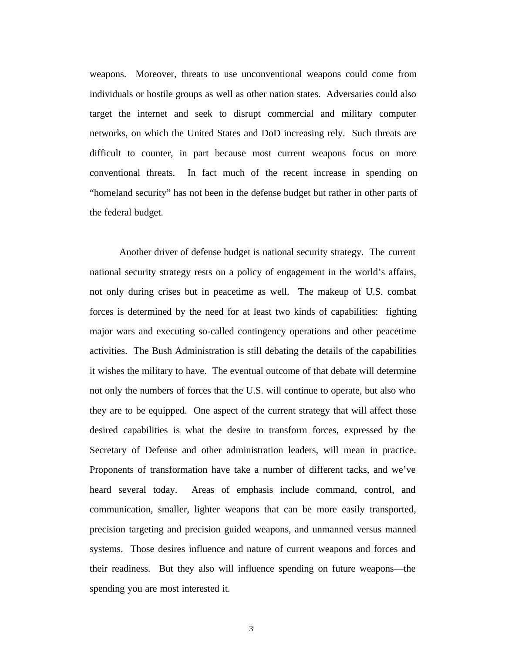weapons. Moreover, threats to use unconventional weapons could come from individuals or hostile groups as well as other nation states. Adversaries could also target the internet and seek to disrupt commercial and military computer networks, on which the United States and DoD increasing rely. Such threats are difficult to counter, in part because most current weapons focus on more conventional threats. In fact much of the recent increase in spending on "homeland security" has not been in the defense budget but rather in other parts of the federal budget.

Another driver of defense budget is national security strategy. The current national security strategy rests on a policy of engagement in the world's affairs, not only during crises but in peacetime as well. The makeup of U.S. combat forces is determined by the need for at least two kinds of capabilities: fighting major wars and executing so-called contingency operations and other peacetime activities. The Bush Administration is still debating the details of the capabilities it wishes the military to have. The eventual outcome of that debate will determine not only the numbers of forces that the U.S. will continue to operate, but also who they are to be equipped. One aspect of the current strategy that will affect those desired capabilities is what the desire to transform forces, expressed by the Secretary of Defense and other administration leaders, will mean in practice. Proponents of transformation have take a number of different tacks, and we've heard several today. Areas of emphasis include command, control, and communication, smaller, lighter weapons that can be more easily transported, precision targeting and precision guided weapons, and unmanned versus manned systems. Those desires influence and nature of current weapons and forces and their readiness. But they also will influence spending on future weapons—the spending you are most interested it.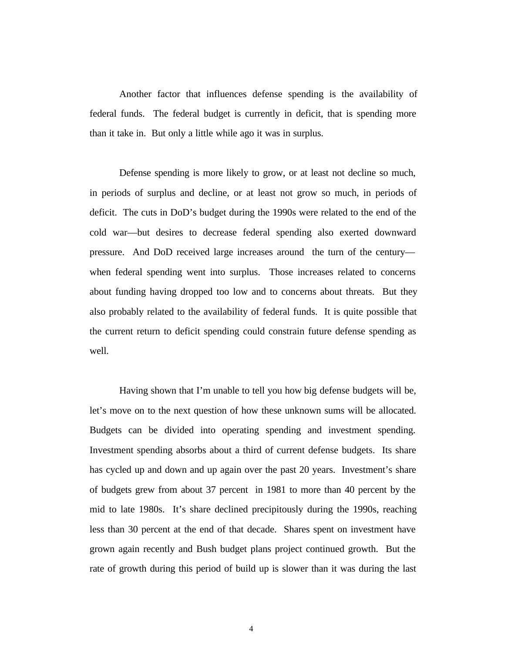Another factor that influences defense spending is the availability of federal funds. The federal budget is currently in deficit, that is spending more than it take in. But only a little while ago it was in surplus.

Defense spending is more likely to grow, or at least not decline so much, in periods of surplus and decline, or at least not grow so much, in periods of deficit. The cuts in DoD's budget during the 1990s were related to the end of the cold war—but desires to decrease federal spending also exerted downward pressure. And DoD received large increases around the turn of the century when federal spending went into surplus. Those increases related to concerns about funding having dropped too low and to concerns about threats. But they also probably related to the availability of federal funds. It is quite possible that the current return to deficit spending could constrain future defense spending as well.

Having shown that I'm unable to tell you how big defense budgets will be, let's move on to the next question of how these unknown sums will be allocated. Budgets can be divided into operating spending and investment spending. Investment spending absorbs about a third of current defense budgets. Its share has cycled up and down and up again over the past 20 years. Investment's share of budgets grew from about 37 percent in 1981 to more than 40 percent by the mid to late 1980s. It's share declined precipitously during the 1990s, reaching less than 30 percent at the end of that decade. Shares spent on investment have grown again recently and Bush budget plans project continued growth. But the rate of growth during this period of build up is slower than it was during the last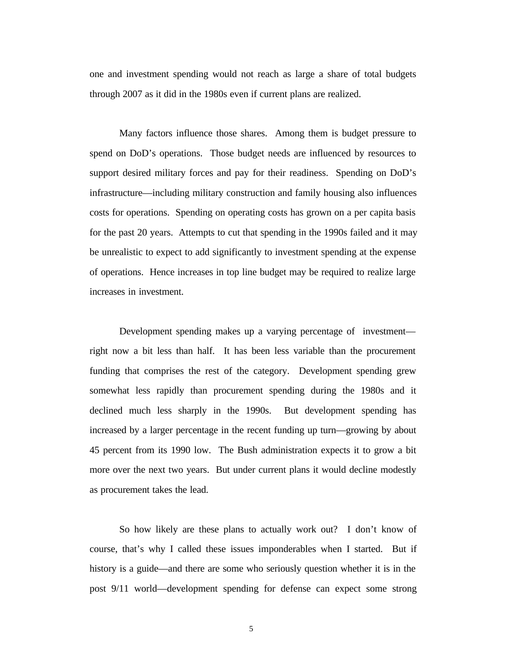one and investment spending would not reach as large a share of total budgets through 2007 as it did in the 1980s even if current plans are realized.

Many factors influence those shares. Among them is budget pressure to spend on DoD's operations. Those budget needs are influenced by resources to support desired military forces and pay for their readiness. Spending on DoD's infrastructure—including military construction and family housing also influences costs for operations. Spending on operating costs has grown on a per capita basis for the past 20 years. Attempts to cut that spending in the 1990s failed and it may be unrealistic to expect to add significantly to investment spending at the expense of operations. Hence increases in top line budget may be required to realize large increases in investment.

Development spending makes up a varying percentage of investment right now a bit less than half. It has been less variable than the procurement funding that comprises the rest of the category. Development spending grew somewhat less rapidly than procurement spending during the 1980s and it declined much less sharply in the 1990s. But development spending has increased by a larger percentage in the recent funding up turn—growing by about 45 percent from its 1990 low. The Bush administration expects it to grow a bit more over the next two years. But under current plans it would decline modestly as procurement takes the lead.

So how likely are these plans to actually work out? I don't know of course, that's why I called these issues imponderables when I started. But if history is a guide—and there are some who seriously question whether it is in the post 9/11 world—development spending for defense can expect some strong